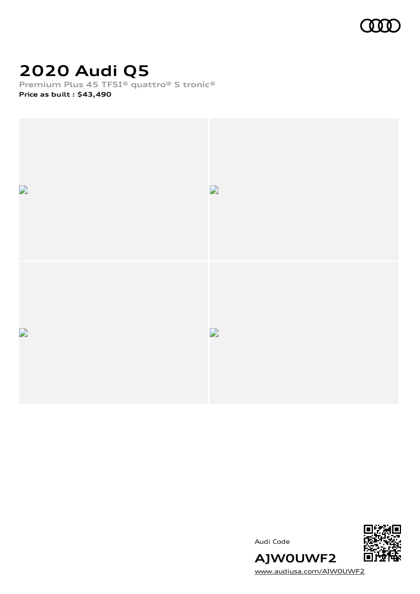

# **2020 Audi Q5**

**Premium Plus 45 TFSI® quattro® S tronic® Price as built [:](#page-8-0) \$43,490**



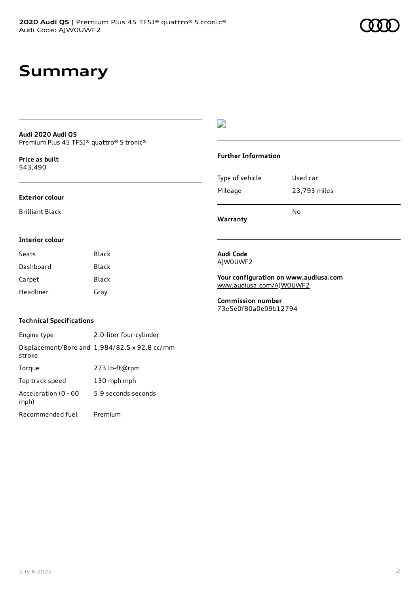#### **Audi 2020 Audi Q5** Premium Plus 45 TFSI® quattro® S tronic®

**Price as buil[t](#page-8-0)** \$43,490

#### **Exterior colour**

Brilliant Black

#### D

#### **Further Information**

| Warranty        | N٥           |
|-----------------|--------------|
| Mileage         | 23,793 miles |
| Type of vehicle | Used car     |

#### **Interior colour**

| Seats     | Black |
|-----------|-------|
| Dashboard | Black |
| Carpet    | Black |
| Headliner | Gray  |

#### **Audi Code** AJW0UWF2

**Your configuration on www.audiusa.com** [www.audiusa.com/AJW0UWF2](https://www.audiusa.com/AJW0UWF2)

#### **Commission number** 73e5e0f80a0e09b12794

#### **Technical Specifications**

Engine type 2.0-liter four-cylinder Displacement/Bore and 1,984/82.5 x 92.8 cc/mm stroke Torque 273 lb-ft@rpm Top track speed 130 mph mph Acceleration (0 - 60 mph) 5.9 seconds seconds Recommended fuel Premium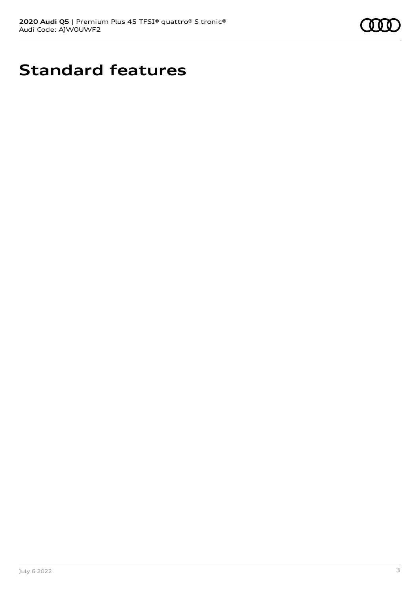

# **Standard features**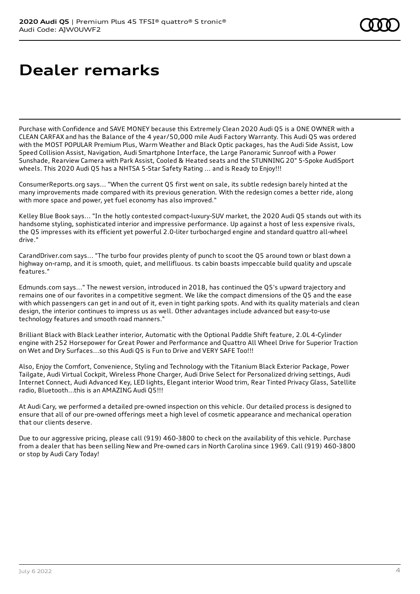# **Dealer remarks**

Purchase with Confidence and SAVE MONEY because this Extremely Clean 2020 Audi Q5 is a ONE OWNER with a CLEAN CARFAX and has the Balance of the 4 year/50,000 mile Audi Factory Warranty. This Audi Q5 was ordered with the MOST POPULAR Premium Plus, Warm Weather and Black Optic packages, has the Audi Side Assist, Low Speed Collision Assist, Navigation, Audi Smartphone Interface, the Large Panoramic Sunroof with a Power Sunshade, Rearview Camera with Park Assist, Cooled & Heated seats and the STUNNING 20" 5-Spoke AudiSport wheels. This 2020 Audi Q5 has a NHTSA 5-Star Safety Rating ... and is Ready to Enjoy!!!

ConsumerReports.org says... "When the current Q5 first went on sale, its subtle redesign barely hinted at the many improvements made compared with its previous generation. With the redesign comes a better ride, along with more space and power, yet fuel economy has also improved."

Kelley Blue Book says... "In the hotly contested compact-luxury-SUV market, the 2020 Audi Q5 stands out with its handsome styling, sophisticated interior and impressive performance. Up against a host of less expensive rivals, the Q5 impresses with its efficient yet powerful 2.0-liter turbocharged engine and standard quattro all-wheel drive."

CarandDriver.com says... "The turbo four provides plenty of punch to scoot the Q5 around town or blast down a highway on-ramp, and it is smooth, quiet, and mellifluous. ts cabin boasts impeccable build quality and upscale features."

Edmunds.com says..." The newest version, introduced in 2018, has continued the Q5's upward trajectory and remains one of our favorites in a competitive segment. We like the compact dimensions of the Q5 and the ease with which passengers can get in and out of it, even in tight parking spots. And with its quality materials and clean design, the interior continues to impress us as well. Other advantages include advanced but easy-to-use technology features and smooth road manners."

Brilliant Black with Black Leather interior, Automatic with the Optional Paddle Shift feature, 2.0L 4-Cylinder engine with 252 Horsepower for Great Power and Performance and Quattro All Wheel Drive for Superior Traction on Wet and Dry Surfaces...so this Audi Q5 is Fun to Drive and VERY SAFE Too!!!

Also, Enjoy the Comfort, Convenience, Styling and Technology with the Titanium Black Exterior Package, Power Tailgate, Audi Virtual Cockpit, Wireless Phone Charger, Audi Drive Select for Personalized driving settings, Audi Internet Connect, Audi Advanced Key, LED lights, Elegant interior Wood trim, Rear Tinted Privacy Glass, Satellite radio, Bluetooth...this is an AMAZING Audi Q5!!!

At Audi Cary, we performed a detailed pre-owned inspection on this vehicle. Our detailed process is designed to ensure that all of our pre-owned offerings meet a high level of cosmetic appearance and mechanical operation that our clients deserve.

Due to our aggressive pricing, please call (919) 460-3800 to check on the availability of this vehicle. Purchase from a dealer that has been selling New and Pre-owned cars in North Carolina since 1969. Call (919) 460-3800 or stop by Audi Cary Today!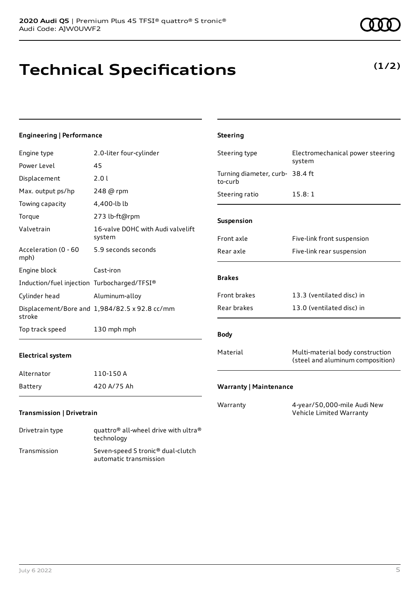# **Technical Specifications**

technology Transmission Seven-speed S tronic® dual-clutch

automatic transmission

### **Engineering | Performance**

| Engine type                                 | 2.0-liter four-cylinder                                      | Steering type                              | Electromechanical power steering                                     |
|---------------------------------------------|--------------------------------------------------------------|--------------------------------------------|----------------------------------------------------------------------|
| Power Level                                 | 45                                                           |                                            | system                                                               |
| Displacement                                | 2.0 l                                                        | Turning diameter, curb- 38.4 ft<br>to-curb |                                                                      |
| Max. output ps/hp                           | 248 @ rpm                                                    | Steering ratio                             | 15.8:1                                                               |
| Towing capacity                             | 4,400-lb lb                                                  |                                            |                                                                      |
| Torque                                      | 273 lb-ft@rpm                                                | Suspension                                 |                                                                      |
| Valvetrain                                  | 16-valve DOHC with Audi valvelift<br>system                  | Front axle                                 | Five-link front suspension                                           |
| Acceleration (0 - 60<br>mph)                | 5.9 seconds seconds                                          | Rear axle                                  | Five-link rear suspension                                            |
| Engine block                                | Cast-iron                                                    |                                            |                                                                      |
| Induction/fuel injection Turbocharged/TFSI® |                                                              | <b>Brakes</b>                              |                                                                      |
| Cylinder head                               | Aluminum-alloy                                               | Front brakes                               | 13.3 (ventilated disc) in                                            |
| stroke                                      | Displacement/Bore and 1,984/82.5 x 92.8 cc/mm                | Rear brakes                                | 13.0 (ventilated disc) in                                            |
| Top track speed                             | 130 mph mph                                                  | <b>Body</b>                                |                                                                      |
| <b>Electrical system</b>                    |                                                              | Material                                   | Multi-material body construction<br>(steel and aluminum composition) |
| Alternator                                  | 110-150 A                                                    |                                            |                                                                      |
| Battery                                     | 420 A/75 Ah                                                  | <b>Warranty   Maintenance</b>              |                                                                      |
| <b>Transmission   Drivetrain</b>            |                                                              | Warranty                                   | 4-year/50,000-mile Audi New<br>Vehicle Limited Warranty              |
| Drivetrain type                             | quattro <sup>®</sup> all-wheel drive with ultra <sup>®</sup> |                                            |                                                                      |

**Steering**



### **(1/2)**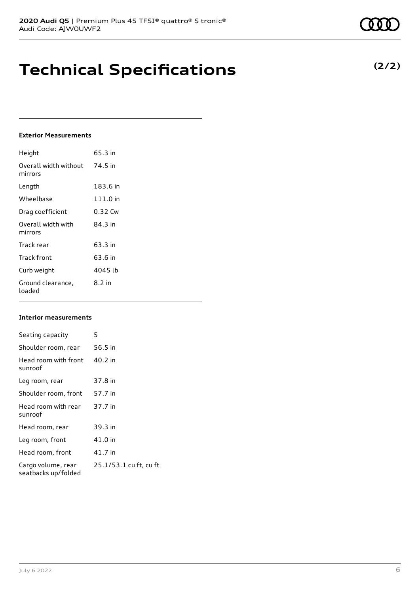# **Technical Specifications**

### **Exterior Measurements**

| Height                           | 65.3 in  |
|----------------------------------|----------|
| Overall width without<br>mirrors | 74.5 in  |
| Length                           | 183.6 in |
| Wheelbase                        | 111.0 in |
| Drag coefficient                 | 0.32 Cw  |
| Overall width with<br>mirrors    | 84.3 in  |
| Track rear                       | 63.3 in  |
| Track front                      | 63.6 in  |
| Curb weight                      | 4045 lb  |
| Ground clearance,<br>loaded      | $8.2$ in |

### **Interior measurements**

| Seating capacity                          | 5                      |
|-------------------------------------------|------------------------|
| Shoulder room, rear                       | 56.5 in                |
| Head room with front<br>sunroof           | 40.2 in                |
| Leg room, rear                            | 37.8 in                |
| Shoulder room, front                      | 57.7 in                |
| Head room with rear<br>sunroof            | 37.7 in                |
| Head room, rear                           | 39.3 in                |
| Leg room, front                           | 41.0 in                |
| Head room, front                          | 41.7 in                |
| Cargo volume, rear<br>seatbacks up/folded | 25.1/53.1 cu ft, cu ft |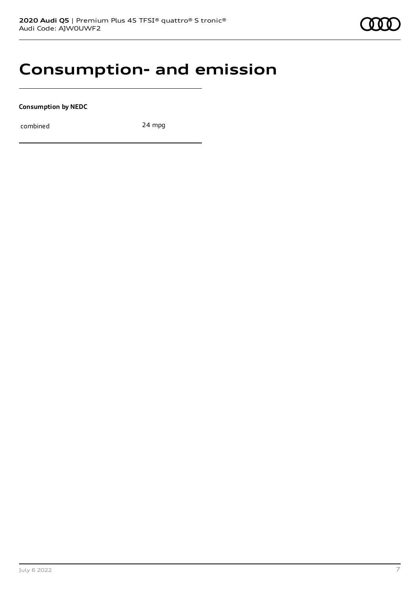### **Consumption- and emission**

**Consumption by NEDC**

combined 24 mpg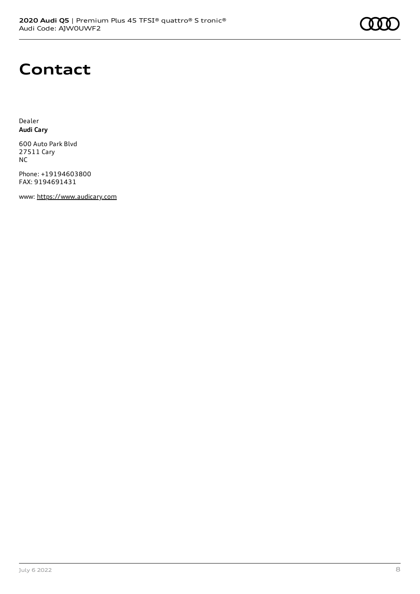### **Contact**

Dealer **Audi Cary**

600 Auto Park Blvd 27511 Cary NC

Phone: +19194603800 FAX: 9194691431

www: [https://www.audicary.com](https://www.audicary.com/)